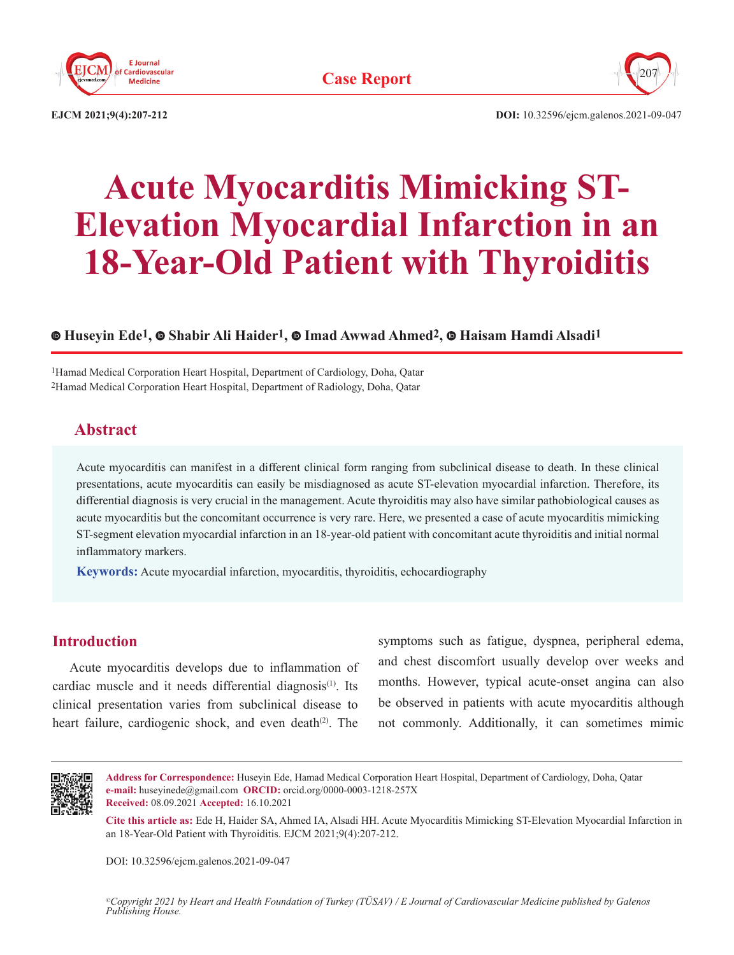



**EJCM 2021;9(4):207-212**

**DOI:** 10.32596/ejcm.galenos.2021-09-047

# **Acute Myocarditis Mimicking ST-Elevation Myocardial Infarction in an 18-Year-Old Patient with Thyroiditis**

## **Huseyin Ede1,Shabir Ali Haider1,Imad Awwad Ahmed2,Haisam Hamdi Alsadi1**

1Hamad Medical Corporation Heart Hospital, Department of Cardiology, Doha, Qatar 2Hamad Medical Corporation Heart Hospital, Department of Radiology, Doha, Qatar

## **Abstract**

Acute myocarditis can manifest in a different clinical form ranging from subclinical disease to death. In these clinical presentations, acute myocarditis can easily be misdiagnosed as acute ST-elevation myocardial infarction. Therefore, its differential diagnosis is very crucial in the management. Acute thyroiditis may also have similar pathobiological causes as acute myocarditis but the concomitant occurrence is very rare. Here, we presented a case of acute myocarditis mimicking ST-segment elevation myocardial infarction in an 18-year-old patient with concomitant acute thyroiditis and initial normal inflammatory markers.

**Keywords:** Acute myocardial infarction, myocarditis, thyroiditis, echocardiography

#### **Introduction**

Acute myocarditis develops due to inflammation of cardiac muscle and it needs differential diagnosis<sup>(1)</sup>. Its clinical presentation varies from subclinical disease to heart failure, cardiogenic shock, and even death $(2)$ . The symptoms such as fatigue, dyspnea, peripheral edema, and chest discomfort usually develop over weeks and months. However, typical acute-onset angina can also be observed in patients with acute myocarditis although not commonly. Additionally, it can sometimes mimic



**Address for Correspondence:** Huseyin Ede, Hamad Medical Corporation Heart Hospital, Department of Cardiology, Doha, Qatar **e-mail:** huseyinede@gmail.com **ORCID:** orcid.org/0000-0003-1218-257X **Received:** 08.09.2021 **Accepted:** 16.10.2021

**Cite this article as:** Ede H, Haider SA, Ahmed IA, Alsadi HH. Acute Myocarditis Mimicking ST-Elevation Myocardial Infarction in an 18-Year-Old Patient with Thyroiditis. EJCM 2021;9(4):207-212.

DOI: 10.32596/ejcm.galenos.2021-09-047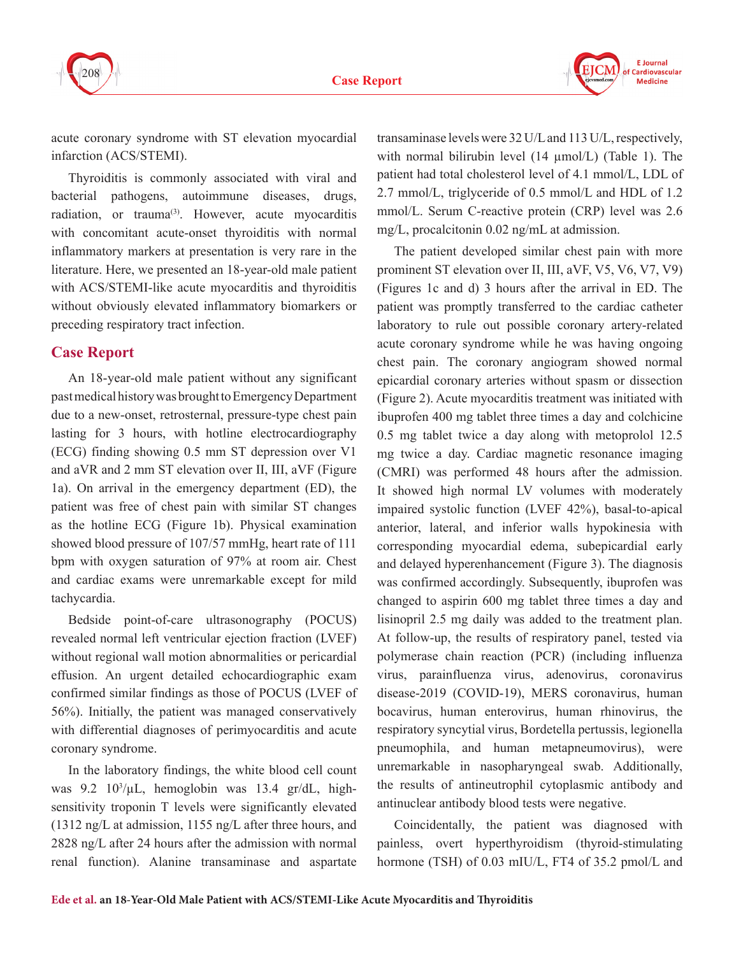



acute coronary syndrome with ST elevation myocardial infarction (ACS/STEMI).

Thyroiditis is commonly associated with viral and bacterial pathogens, autoimmune diseases, drugs, radiation, or trauma<sup>(3)</sup>. However, acute myocarditis with concomitant acute-onset thyroiditis with normal inflammatory markers at presentation is very rare in the literature. Here, we presented an 18-year-old male patient with ACS/STEMI-like acute myocarditis and thyroiditis without obviously elevated inflammatory biomarkers or preceding respiratory tract infection.

## **Case Report**

An 18-year-old male patient without any significant past medical history was brought to Emergency Department due to a new-onset, retrosternal, pressure-type chest pain lasting for 3 hours, with hotline electrocardiography (ECG) finding showing 0.5 mm ST depression over V1 and aVR and 2 mm ST elevation over II, III, aVF (Figure 1a). On arrival in the emergency department (ED), the patient was free of chest pain with similar ST changes as the hotline ECG (Figure 1b). Physical examination showed blood pressure of 107/57 mmHg, heart rate of 111 bpm with oxygen saturation of 97% at room air. Chest and cardiac exams were unremarkable except for mild tachycardia.

Bedside point-of-care ultrasonography (POCUS) revealed normal left ventricular ejection fraction (LVEF) without regional wall motion abnormalities or pericardial effusion. An urgent detailed echocardiographic exam confirmed similar findings as those of POCUS (LVEF of 56%). Initially, the patient was managed conservatively with differential diagnoses of perimyocarditis and acute coronary syndrome.

In the laboratory findings, the white blood cell count was 9.2 10<sup>3</sup>/µL, hemoglobin was 13.4 gr/dL, highsensitivity troponin T levels were significantly elevated (1312 ng/L at admission, 1155 ng/L after three hours, and 2828 ng/L after 24 hours after the admission with normal renal function). Alanine transaminase and aspartate

transaminase levels were 32 U/L and 113 U/L, respectively, with normal bilirubin level (14  $\mu$ mol/L) (Table 1). The patient had total cholesterol level of 4.1 mmol/L, LDL of 2.7 mmol/L, triglyceride of 0.5 mmol/L and HDL of 1.2 mmol/L. Serum C-reactive protein (CRP) level was 2.6 mg/L, procalcitonin 0.02 ng/mL at admission.

The patient developed similar chest pain with more prominent ST elevation over II, III, aVF, V5, V6, V7, V9) (Figures 1c and d) 3 hours after the arrival in ED. The patient was promptly transferred to the cardiac catheter laboratory to rule out possible coronary artery-related acute coronary syndrome while he was having ongoing chest pain. The coronary angiogram showed normal epicardial coronary arteries without spasm or dissection (Figure 2). Acute myocarditis treatment was initiated with ibuprofen 400 mg tablet three times a day and colchicine 0.5 mg tablet twice a day along with metoprolol 12.5 mg twice a day. Cardiac magnetic resonance imaging (CMRI) was performed 48 hours after the admission. It showed high normal LV volumes with moderately impaired systolic function (LVEF 42%), basal-to-apical anterior, lateral, and inferior walls hypokinesia with corresponding myocardial edema, subepicardial early and delayed hyperenhancement (Figure 3). The diagnosis was confirmed accordingly. Subsequently, ibuprofen was changed to aspirin 600 mg tablet three times a day and lisinopril 2.5 mg daily was added to the treatment plan. At follow-up, the results of respiratory panel, tested via polymerase chain reaction (PCR) (including influenza virus, parainfluenza virus, adenovirus, coronavirus disease-2019 (COVID-19), MERS coronavirus, human bocavirus, human enterovirus, human rhinovirus, the respiratory syncytial virus, Bordetella pertussis, legionella pneumophila, and human metapneumovirus), were unremarkable in nasopharyngeal swab. Additionally, the results of antineutrophil cytoplasmic antibody and antinuclear antibody blood tests were negative.

Coincidentally, the patient was diagnosed with painless, overt hyperthyroidism (thyroid-stimulating hormone (TSH) of 0.03 mIU/L, FT4 of 35.2 pmol/L and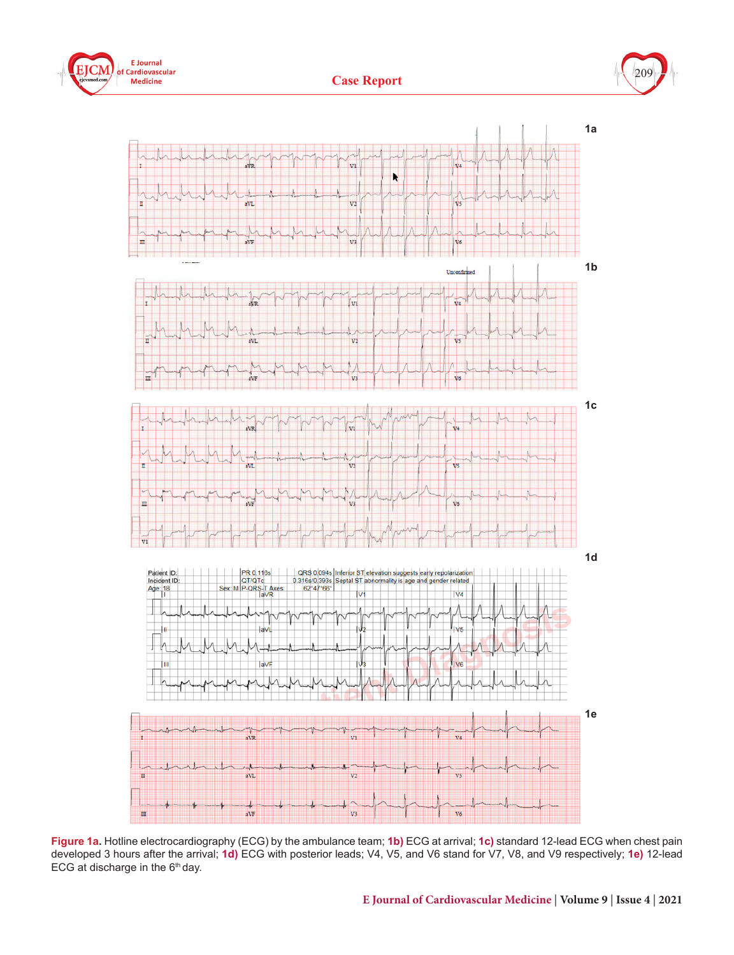





**Figure 1a.** Hotline electrocardiography (ECG) by the ambulance team; **1b)** ECG at arrival; **1c)** standard 12-lead ECG when chest pain developed 3 hours after the arrival; **1d)** ECG with posterior leads; V4, V5, and V6 stand for V7, V8, and V9 respectively; **1e)** 12-lead ECG at discharge in the  $6<sup>th</sup>$  day.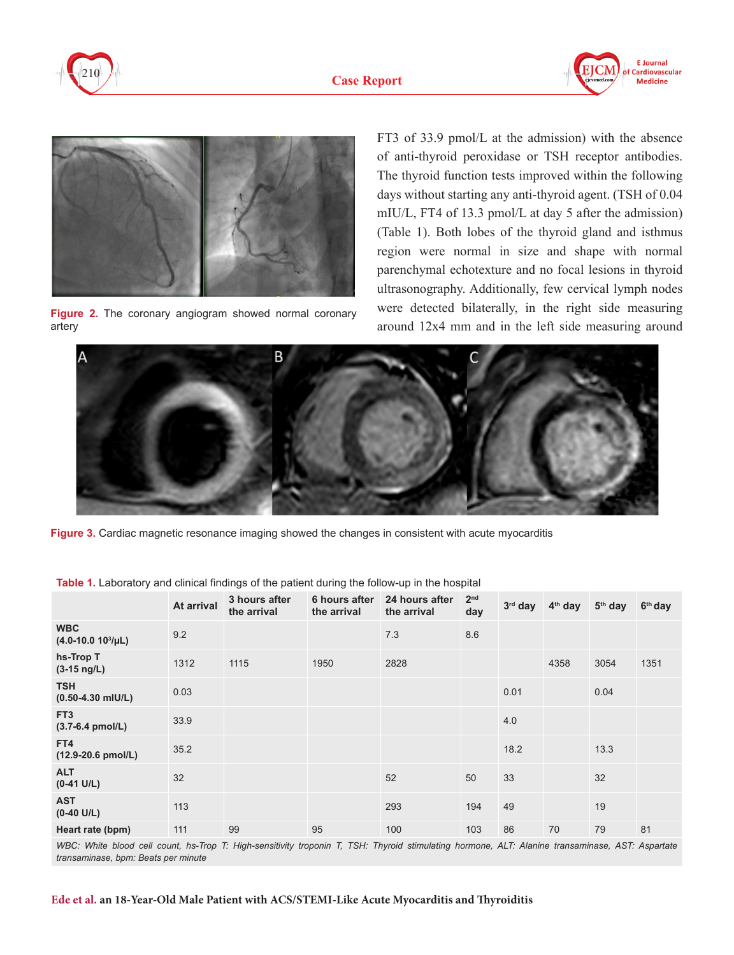





**Figure 2.** The coronary angiogram showed normal coronary artery

FT3 of 33.9 pmol/L at the admission) with the absence of anti-thyroid peroxidase or TSH receptor antibodies. The thyroid function tests improved within the following days without starting any anti-thyroid agent. (TSH of 0.04 mIU/L, FT4 of 13.3 pmol/L at day 5 after the admission) (Table 1). Both lobes of the thyroid gland and isthmus region were normal in size and shape with normal parenchymal echotexture and no focal lesions in thyroid ultrasonography. Additionally, few cervical lymph nodes were detected bilaterally, in the right side measuring around 12x4 mm and in the left side measuring around



**Figure 3.** Cardiac magnetic resonance imaging showed the changes in consistent with acute myocarditis

|                                       | At arrival | 3 hours after<br>the arrival | 6 hours after<br>the arrival | 24 hours after<br>the arrival | 2 <sup>nd</sup><br>day | $3rd$ day | 4 <sup>th</sup> day | $5th$ day | 6 <sup>th</sup> day |
|---------------------------------------|------------|------------------------------|------------------------------|-------------------------------|------------------------|-----------|---------------------|-----------|---------------------|
| <b>WBC</b><br>$(4.0-10.0 10^3/\mu L)$ | 9.2        |                              |                              | 7.3                           | 8.6                    |           |                     |           |                     |
| hs-Trop T<br>$(3-15 \text{ ng/L})$    | 1312       | 1115                         | 1950                         | 2828                          |                        |           | 4358                | 3054      | 1351                |
| <b>TSH</b><br>$(0.50 - 4.30$ mIU/L)   | 0.03       |                              |                              |                               |                        | 0.01      |                     | 0.04      |                     |
| FT <sub>3</sub><br>(3.7-6.4 pmol/L)   | 33.9       |                              |                              |                               |                        | 4.0       |                     |           |                     |
| FT4<br>(12.9-20.6 pmol/L)             | 35.2       |                              |                              |                               |                        | 18.2      |                     | 13.3      |                     |
| <b>ALT</b><br>$(0-41 \text{ U/L})$    | 32         |                              |                              | 52                            | 50                     | 33        |                     | 32        |                     |
| <b>AST</b><br>$(0-40 \text{ U/L})$    | 113        |                              |                              | 293                           | 194                    | 49        |                     | 19        |                     |
| Heart rate (bpm)                      | 111        | 99                           | 95                           | 100                           | 103                    | 86        | 70                  | 79        | 81                  |

**Table 1.** Laboratory and clinical findings of the patient during the follow-up in the hospital

WBC: White blood cell count, hs-Trop T: High-sensitivity troponin T, TSH: Thyroid stimulating hormone, ALT: Alanine transaminase, AST: Aspartate *transaminase, bpm: Beats per minute*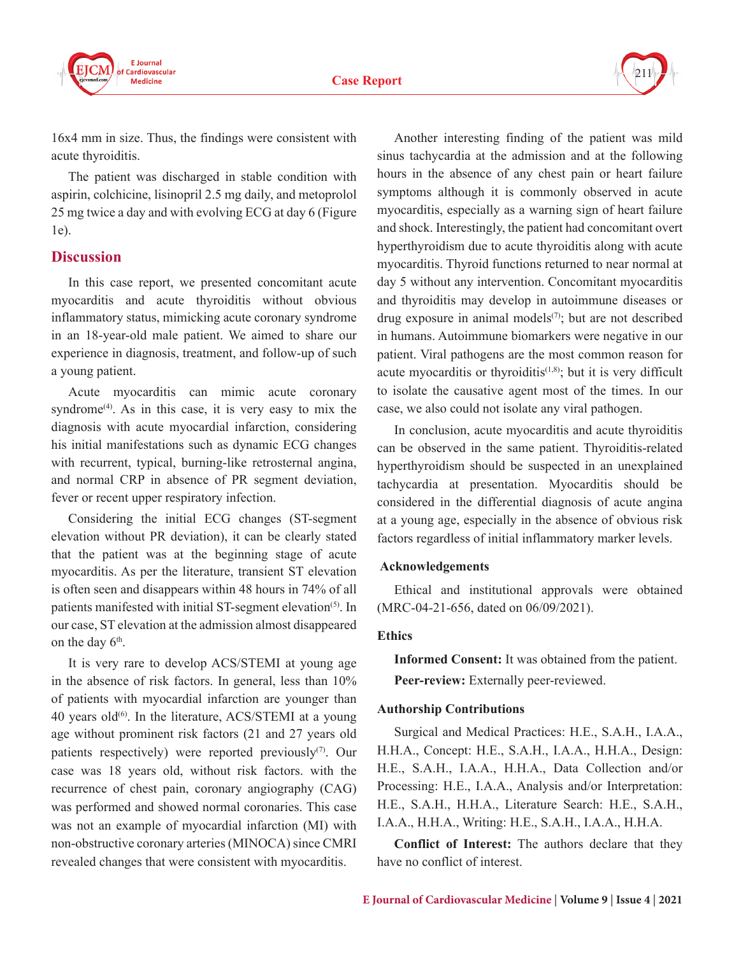



16x4 mm in size. Thus, the findings were consistent with acute thyroiditis.

The patient was discharged in stable condition with aspirin, colchicine, lisinopril 2.5 mg daily, and metoprolol 25 mg twice a day and with evolving ECG at day 6 (Figure 1e).

#### **Discussion**

In this case report, we presented concomitant acute myocarditis and acute thyroiditis without obvious inflammatory status, mimicking acute coronary syndrome in an 18-year-old male patient. We aimed to share our experience in diagnosis, treatment, and follow-up of such a young patient.

Acute myocarditis can mimic acute coronary syndrome<sup> $(4)$ </sup>. As in this case, it is very easy to mix the diagnosis with acute myocardial infarction, considering his initial manifestations such as dynamic ECG changes with recurrent, typical, burning-like retrosternal angina, and normal CRP in absence of PR segment deviation, fever or recent upper respiratory infection.

Considering the initial ECG changes (ST-segment elevation without PR deviation), it can be clearly stated that the patient was at the beginning stage of acute myocarditis. As per the literature, transient ST elevation is often seen and disappears within 48 hours in 74% of all patients manifested with initial ST-segment elevation<sup>(5)</sup>. In our case, ST elevation at the admission almost disappeared on the day  $6<sup>th</sup>$ .

It is very rare to develop ACS/STEMI at young age in the absence of risk factors. In general, less than 10% of patients with myocardial infarction are younger than 40 years old $^{(6)}$ . In the literature, ACS/STEMI at a young age without prominent risk factors (21 and 27 years old patients respectively) were reported previously<sup>(7)</sup>. Our case was 18 years old, without risk factors. with the recurrence of chest pain, coronary angiography (CAG) was performed and showed normal coronaries. This case was not an example of myocardial infarction (MI) with non-obstructive coronary arteries (MINOCA) since CMRI revealed changes that were consistent with myocarditis.

Another interesting finding of the patient was mild sinus tachycardia at the admission and at the following hours in the absence of any chest pain or heart failure symptoms although it is commonly observed in acute myocarditis, especially as a warning sign of heart failure and shock. Interestingly, the patient had concomitant overt hyperthyroidism due to acute thyroiditis along with acute myocarditis. Thyroid functions returned to near normal at day 5 without any intervention. Concomitant myocarditis and thyroiditis may develop in autoimmune diseases or drug exposure in animal models $(7)$ ; but are not described in humans. Autoimmune biomarkers were negative in our patient. Viral pathogens are the most common reason for acute myocarditis or thyroiditis $(1,8)$ ; but it is very difficult to isolate the causative agent most of the times. In our case, we also could not isolate any viral pathogen.

In conclusion, acute myocarditis and acute thyroiditis can be observed in the same patient. Thyroiditis-related hyperthyroidism should be suspected in an unexplained tachycardia at presentation. Myocarditis should be considered in the differential diagnosis of acute angina at a young age, especially in the absence of obvious risk factors regardless of initial inflammatory marker levels.

#### **Acknowledgements**

Ethical and institutional approvals were obtained (MRC-04-21-656, dated on 06/09/2021).

#### **Ethics**

**Informed Consent:** It was obtained from the patient. **Peer-review:** Externally peer-reviewed.

#### **Authorship Contributions**

Surgical and Medical Practices: H.E., S.A.H., I.A.A., H.H.A., Concept: H.E., S.A.H., I.A.A., H.H.A., Design: H.E., S.A.H., I.A.A., H.H.A., Data Collection and/or Processing: H.E., I.A.A., Analysis and/or Interpretation: H.E., S.A.H., H.H.A., Literature Search: H.E., S.A.H., I.A.A., H.H.A., Writing: H.E., S.A.H., I.A.A., H.H.A.

**Conflict of Interest:** The authors declare that they have no conflict of interest.